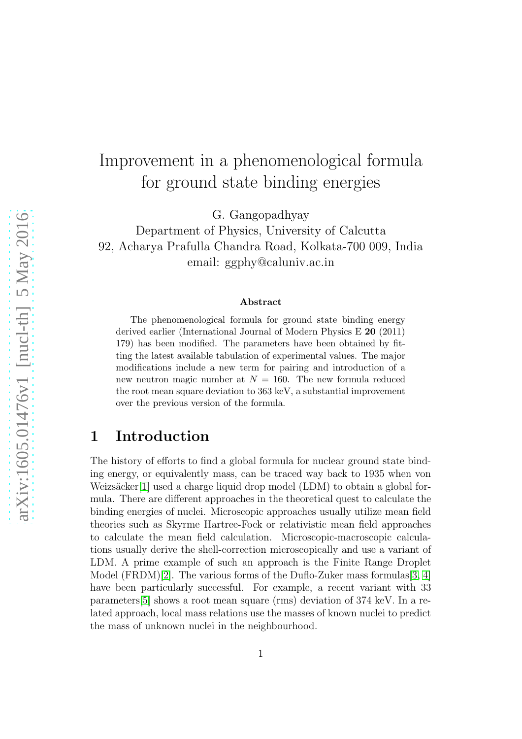# Improvement in a phenomenological formula for ground state binding energies

G. Gangopadhyay

Department of Physics, University of Calcutta 92, Acharya Prafulla Chandra Road, Kolkata-700 009, India email: ggphy@caluniv.ac.in

#### Abstract

The phenomenological formula for ground state binding energy derived earlier (International Journal of Modern Physics E 20 (2011) 179) has been modified. The parameters have been obtained by fitting the latest available tabulation of experimental values. The major modifications include a new term for pairing and introduction of a new neutron magic number at  $N = 160$ . The new formula reduced the root mean square deviation to 363 keV, a substantial improvement over the previous version of the formula.

# 1 Introduction

The history of efforts to find a global formula for nuclear ground state binding energy, or equivalently mass, can be traced way back to 1935 when von Weizsäcker[\[1\]](#page-9-0) used a charge liquid drop model (LDM) to obtain a global formula. There are different approaches in the theoretical quest to calculate the binding energies of nuclei. Microscopic approaches usually utilize mean field theories such as Skyrme Hartree-Fock or relativistic mean field approaches to calculate the mean field calculation. Microscopic-macroscopic calculations usually derive the shell-correction microscopically and use a variant of LDM. A prime example of such an approach is the Finite Range Droplet Model  $(FRDM)[2]$  $(FRDM)[2]$ . The various forms of the Duflo-Zuker mass formulas [\[3,](#page-9-2) [4\]](#page-9-3) have been particularly successful. For example, a recent variant with 33 parameters[\[5\]](#page-10-0) shows a root mean square (rms) deviation of 374 keV. In a related approach, local mass relations use the masses of known nuclei to predict the mass of unknown nuclei in the neighbourhood.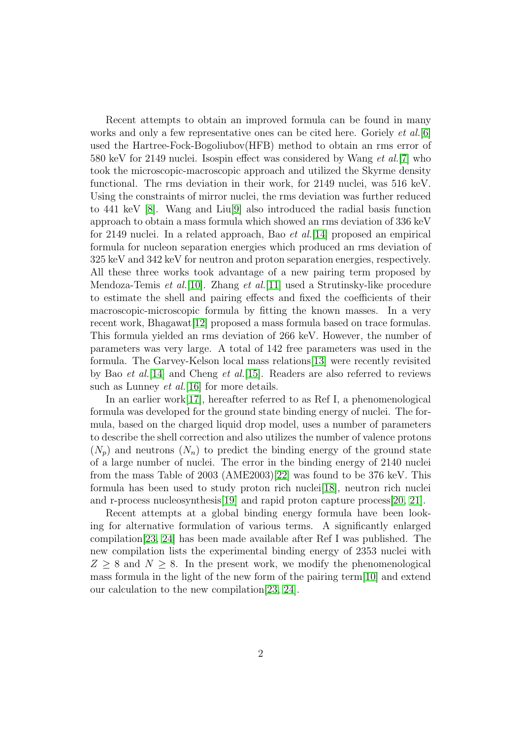Recent attempts to obtain an improved formula can be found in many works and only a few representative ones can be cited here. Goriely *et al.*[\[6\]](#page-10-1) used the Hartree-Fock-Bogoliubov(HFB) method to obtain an rms error of 580 keV for 2149 nuclei. Isospin effect was considered by Wang *et al.*[\[7\]](#page-10-2) who took the microscopic-macroscopic approach and utilized the Skyrme density functional. The rms deviation in their work, for 2149 nuclei, was 516 keV. Using the constraints of mirror nuclei, the rms deviation was further reduced to 441 keV [\[8\]](#page-10-3). Wang and Liu[\[9\]](#page-10-4) also introduced the radial basis function approach to obtain a mass formula which showed an rms deviation of 336 keV for 2149 nuclei. In a related approach, Bao *et al.*[\[14\]](#page-10-5) proposed an empirical formula for nucleon separation energies which produced an rms deviation of 325 keV and 342 keV for neutron and proton separation energies, respectively. All these three works took advantage of a new pairing term proposed by Mendoza-Temis *et al.*[\[10\]](#page-10-6). Zhang *et al.*[\[11\]](#page-10-7) used a Strutinsky-like procedure to estimate the shell and pairing effects and fixed the coefficients of their macroscopic-microscopic formula by fitting the known masses. In a very recent work, Bhagawat[\[12\]](#page-10-8) proposed a mass formula based on trace formulas. This formula yielded an rms deviation of 266 keV. However, the number of parameters was very large. A total of 142 free parameters was used in the formula. The Garvey-Kelson local mass relations[\[13\]](#page-10-9) were recently revisited by Bao *et al.*[\[14\]](#page-10-5) and Cheng *et al.*[\[15\]](#page-10-10). Readers are also referred to reviews such as Lunney *et al.*[\[16\]](#page-10-11) for more details.

In an earlier work[\[17\]](#page-10-12), hereafter referred to as Ref I, a phenomenological formula was developed for the ground state binding energy of nuclei. The formula, based on the charged liquid drop model, uses a number of parameters to describe the shell correction and also utilizes the number of valence protons  $(N_p)$  and neutrons  $(N_n)$  to predict the binding energy of the ground state of a large number of nuclei. The error in the binding energy of 2140 nuclei from the mass Table of 2003 (AME2003)[\[22\]](#page-10-13) was found to be 376 keV. This formula has been used to study proton rich nuclei[\[18\]](#page-10-14), neutron rich nuclei and r-process nucleosynthesis[\[19\]](#page-10-15) and rapid proton capture process[\[20,](#page-10-16) [21\]](#page-10-17).

Recent attempts at a global binding energy formula have been looking for alternative formulation of various terms. A significantly enlarged compilation[\[23,](#page-10-18) [24\]](#page-11-0) has been made available after Ref I was published. The new compilation lists the experimental binding energy of 2353 nuclei with  $Z \geq 8$  and  $N \geq 8$ . In the present work, we modify the phenomenological mass formula in the light of the new form of the pairing term[\[10\]](#page-10-6) and extend our calculation to the new compilation[\[23,](#page-10-18) [24\]](#page-11-0).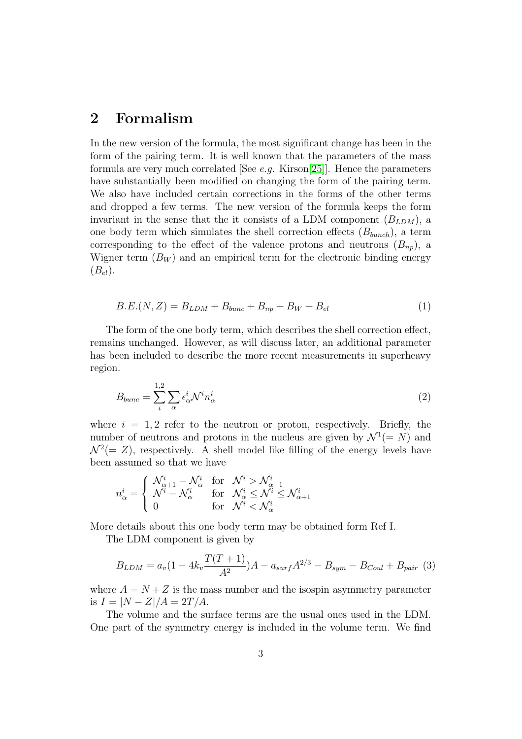# 2 Formalism

In the new version of the formula, the most significant change has been in the form of the pairing term. It is well known that the parameters of the mass formula are very much correlated [See *e.g.* Kirson[\[25\]](#page-11-1)]. Hence the parameters have substantially been modified on changing the form of the pairing term. We also have included certain corrections in the forms of the other terms and dropped a few terms. The new version of the formula keeps the form invariant in the sense that the it consists of a LDM component  $(B_{LDM})$ , a one body term which simulates the shell correction effects  $(B_{bunch})$ , a term corresponding to the effect of the valence protons and neutrons  $(B_{nn})$ , a Wigner term  $(B_W)$  and an empirical term for the electronic binding energy  $(B_{el}).$ 

$$
B.E.(N, Z) = B_{LDM} + B_{bunc} + B_{np} + B_W + B_{el}
$$
 (1)

The form of the one body term, which describes the shell correction effect, remains unchanged. However, as will discuss later, an additional parameter has been included to describe the more recent measurements in superheavy region.

$$
B_{bunc} = \sum_{i}^{1,2} \sum_{\alpha} \epsilon_{\alpha}^{i} \mathcal{N}^{i} n_{\alpha}^{i}
$$
 (2)

where  $i = 1, 2$  refer to the neutron or proton, respectively. Briefly, the number of neutrons and protons in the nucleus are given by  $\mathcal{N}^1(=N)$  and  $\mathcal{N}^2(= Z)$ , respectively. A shell model like filling of the energy levels have been assumed so that we have

$$
n_{\alpha}^{i} = \begin{cases} \n\mathcal{N}_{\alpha+1}^{i} - \mathcal{N}_{\alpha}^{i} & \text{for} \quad \mathcal{N}^{i} > \mathcal{N}_{\alpha+1}^{i} \\
\mathcal{N}^{i} - \mathcal{N}_{\alpha}^{i} & \text{for} \quad \mathcal{N}_{\alpha}^{i} \leq \mathcal{N}^{i} \leq \mathcal{N}_{\alpha+1}^{i} \\
0 & \text{for} \quad \mathcal{N}^{i} < \mathcal{N}_{\alpha}^{i}\n\end{cases}
$$

More details about this one body term may be obtained form Ref I.

The LDM component is given by

$$
B_{LDM} = a_v (1 - 4k_v \frac{T(T+1)}{A^2})A - a_{surf} A^{2/3} - B_{sym} - B_{Coul} + B_{pair} (3)
$$

where  $A = N + Z$  is the mass number and the isospin asymmetry parameter is  $I = |N - Z|/A = 2T/A$ .

The volume and the surface terms are the usual ones used in the LDM. One part of the symmetry energy is included in the volume term. We find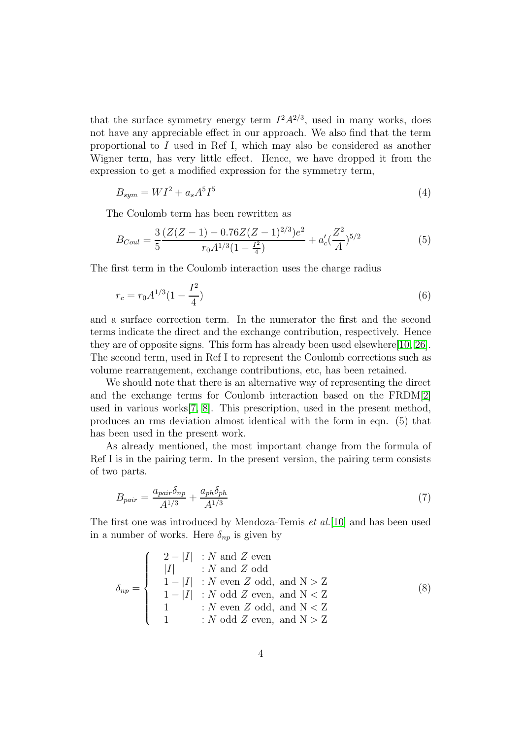that the surface symmetry energy term  $I^2A^{2/3}$ , used in many works, does not have any appreciable effect in our approach. We also find that the term proportional to I used in Ref I, which may also be considered as another Wigner term, has very little effect. Hence, we have dropped it from the expression to get a modified expression for the symmetry term,

$$
B_{sym} = WI^2 + a_s A^5 I^5 \tag{4}
$$

The Coulomb term has been rewritten as

$$
B_{Coul} = \frac{3}{5} \frac{(Z(Z-1) - 0.76Z(Z-1)^{2/3})e^2}{r_0 A^{1/3} (1 - \frac{I^2}{4})} + a'_c (\frac{Z^2}{A})^{5/2}
$$
(5)

The first term in the Coulomb interaction uses the charge radius

$$
r_c = r_0 A^{1/3} (1 - \frac{I^2}{4})
$$
\n<sup>(6)</sup>

and a surface correction term. In the numerator the first and the second terms indicate the direct and the exchange contribution, respectively. Hence they are of opposite signs. This form has already been used elsewhere[\[10,](#page-10-6) [26\]](#page-11-2). The second term, used in Ref I to represent the Coulomb corrections such as volume rearrangement, exchange contributions, etc, has been retained.

We should note that there is an alternative way of representing the direct and the exchange terms for Coulomb interaction based on the FRDM[\[2\]](#page-9-1) used in various works[\[7,](#page-10-2) [8\]](#page-10-3). This prescription, used in the present method, produces an rms deviation almost identical with the form in eqn. (5) that has been used in the present work.

As already mentioned, the most important change from the formula of Ref I is in the pairing term. In the present version, the pairing term consists of two parts.

$$
B_{pair} = \frac{a_{pair}\delta_{np}}{A^{1/3}} + \frac{a_{ph}\delta_{ph}}{A^{1/3}}
$$
\n
$$
\tag{7}
$$

The first one was introduced by Mendoza-Temis *et al.*[\[10\]](#page-10-6) and has been used in a number of works. Here  $\delta_{np}$  is given by

$$
\delta_{np} = \begin{cases}\n2 - |I| & : N \text{ and } Z \text{ even} \\
|I| & : N \text{ and } Z \text{ odd} \\
1 - |I| & : N \text{ even } Z \text{ odd, and } N > Z \\
1 - |I| & : N \text{ odd } Z \text{ even, and } N < Z \\
1 & : N \text{ even } Z \text{ odd, and } N < Z \\
1 & : N \text{ odd } Z \text{ even, and } N > Z\n\end{cases}
$$
\n(8)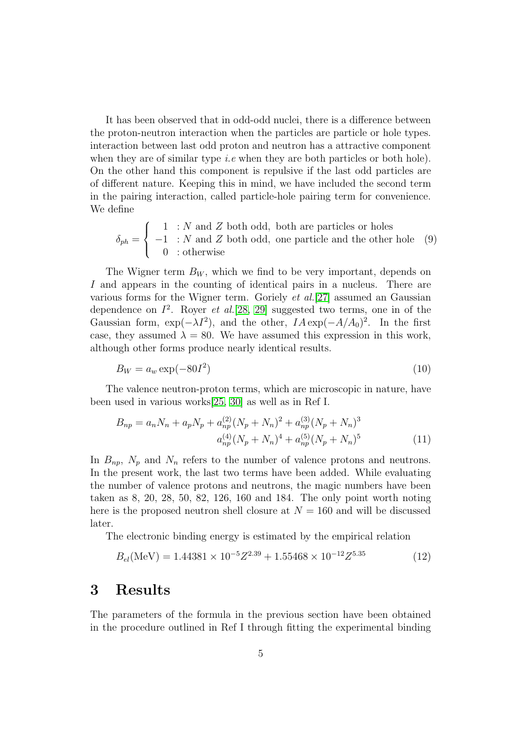It has been observed that in odd-odd nuclei, there is a difference between the proton-neutron interaction when the particles are particle or hole types. interaction between last odd proton and neutron has a attractive component when they are of similar type *i.e* when they are both particles or both hole). On the other hand this component is repulsive if the last odd particles are of different nature. Keeping this in mind, we have included the second term in the pairing interaction, called particle-hole pairing term for convenience. We define

$$
\delta_{ph} = \begin{cases}\n1 & \text{: } N \text{ and } Z \text{ both odd, both are particles or holes} \\
-1 & \text{: } N \text{ and } Z \text{ both odd, one particle and the other hole} \\
0 & \text{: otherwise}\n\end{cases}
$$

The Wigner term  $B_W$ , which we find to be very important, depends on I and appears in the counting of identical pairs in a nucleus. There are various forms for the Wigner term. Goriely *et al.*[\[27\]](#page-11-3) assumed an Gaussian dependence on  $I^2$ . Royer *et al.*[\[28,](#page-11-4) [29\]](#page-11-5) suggested two terms, one in of the Gaussian form,  $\exp(-\lambda I^2)$ , and the other,  $IA \exp(-A/A_0)^2$ . In the first case, they assumed  $\lambda = 80$ . We have assumed this expression in this work, although other forms produce nearly identical results.

$$
B_W = a_w \exp(-80I^2) \tag{10}
$$

The valence neutron-proton terms, which are microscopic in nature, have been used in various works[\[25,](#page-11-1) [30\]](#page-11-6) as well as in Ref I.

$$
B_{np} = a_n N_n + a_p N_p + a_{np}^{(2)} (N_p + N_n)^2 + a_{np}^{(3)} (N_p + N_n)^3
$$
  

$$
a_{np}^{(4)} (N_p + N_n)^4 + a_{np}^{(5)} (N_p + N_n)^5
$$
 (11)

In  $B_{np}$ ,  $N_p$  and  $N_n$  refers to the number of valence protons and neutrons. In the present work, the last two terms have been added. While evaluating the number of valence protons and neutrons, the magic numbers have been taken as 8, 20, 28, 50, 82, 126, 160 and 184. The only point worth noting here is the proposed neutron shell closure at  $N = 160$  and will be discussed later.

The electronic binding energy is estimated by the empirical relation

$$
B_{el}(\text{MeV}) = 1.44381 \times 10^{-5} Z^{2.39} + 1.55468 \times 10^{-12} Z^{5.35} \tag{12}
$$

### 3 Results

The parameters of the formula in the previous section have been obtained in the procedure outlined in Ref I through fitting the experimental binding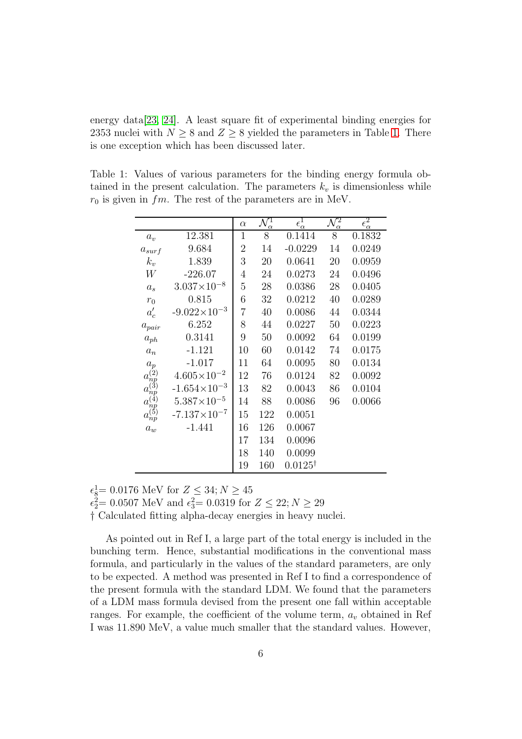energy data[\[23,](#page-10-18) [24\]](#page-11-0). A least square fit of experimental binding energies for 2353 nuclei with  $N \geq 8$  and  $Z \geq 8$  yielded the parameters in Table [1.](#page-5-0) There is one exception which has been discussed later.

Table 1: Values of various parameters for the binding energy formula obtained in the present calculation. The parameters  $k_v$  is dimensionless while  $r_0$  is given in  $fm$ . The rest of the parameters are in MeV.

<span id="page-5-0"></span>

|                                  |                         | $\alpha$       | $\mathcal{N}^1$<br>$\alpha$ | $\epsilon_{\alpha}^1$ | $\mathcal{N}^2_\alpha$ | $\epsilon_\alpha^2$ |
|----------------------------------|-------------------------|----------------|-----------------------------|-----------------------|------------------------|---------------------|
| $a_v$                            | 12.381                  | 1              | 8                           | 0.1414                | 8                      | 0.1832              |
| $a_{surf}$                       | 9.684                   | $\overline{2}$ | 14                          | $-0.0229$             | 14                     | 0.0249              |
| $k_v$                            | 1.839                   | 3              | 20                          | 0.0641                | 20                     | 0.0959              |
| W                                | $-226.07$               | 4              | 24                          | 0.0273                | 24                     | 0.0496              |
| $a_s$                            | $3.037\times10^{-8}$    | $\overline{5}$ | 28                          | 0.0386                | 28                     | 0.0405              |
| $r_0$                            | 0.815                   | 6              | 32                          | 0.0212                | 40                     | 0.0289              |
| $a'_c$                           | $-9.022 \times 10^{-3}$ | 7              | 40                          | 0.0086                | 44                     | 0.0344              |
| $a_{pair}$                       | 6.252                   | 8              | 44                          | 0.0227                | 50                     | 0.0223              |
| $a_{ph}$                         | 0.3141                  | 9              | 50                          | 0.0092                | 64                     | 0.0199              |
| $a_n$                            | $-1.121$                | 10             | 60                          | 0.0142                | 74                     | 0.0175              |
| $a_p$                            | $-1.017$                | 11             | 64                          | 0.0095                | 80                     | 0.0134              |
| $a_{np}^{(2)}$                   | $4.605 \times 10^{-2}$  | 12             | 76                          | 0.0124                | 82                     | 0.0092              |
| $a_{np}^{(3)}$<br>$a_{np}^{(4)}$ | $-1.654\times10^{-3}$   | 13             | 82                          | 0.0043                | 86                     | 0.0104              |
|                                  | $5.387\times10^{-5}$    | 14             | 88                          | 0.0086                | 96                     | 0.0066              |
| $a_{np}^{(\vec{5})}$             | $-7.137\times10^{-7}$   | 15             | 122                         | 0.0051                |                        |                     |
| $a_w$                            | $-1.441$                | 16             | 126                         | 0.0067                |                        |                     |
|                                  |                         | 17             | 134                         | 0.0096                |                        |                     |
|                                  |                         | 18             | 140                         | 0.0099                |                        |                     |
|                                  |                         | 19             | 160                         | $0.0125^{\dagger}$    |                        |                     |

 $\epsilon_8^1 = 0.0176 \text{ MeV} \text{ for } Z \leq 34; N \geq 45$ 

 $\epsilon_2^2 = 0.0507 \text{ MeV}$  and  $\epsilon_3^2 = 0.0319$  for  $Z \leq 22; N \geq 29$ 

† Calculated fitting alpha-decay energies in heavy nuclei.

As pointed out in Ref I, a large part of the total energy is included in the bunching term. Hence, substantial modifications in the conventional mass formula, and particularly in the values of the standard parameters, are only to be expected. A method was presented in Ref I to find a correspondence of the present formula with the standard LDM. We found that the parameters of a LDM mass formula devised from the present one fall within acceptable ranges. For example, the coefficient of the volume term,  $a_v$  obtained in Ref I was 11.890 MeV, a value much smaller that the standard values. However,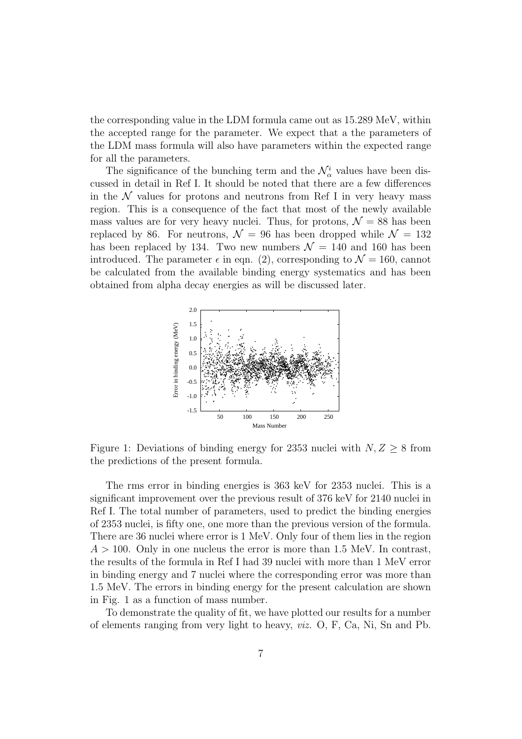the corresponding value in the LDM formula came out as 15.289 MeV, within the accepted range for the parameter. We expect that a the parameters of the LDM mass formula will also have parameters within the expected range for all the parameters.

The significance of the bunching term and the  $\mathcal{N}^i_\alpha$  values have been discussed in detail in Ref I. It should be noted that there are a few differences in the  $N$  values for protons and neutrons from Ref I in very heavy mass region. This is a consequence of the fact that most of the newly available mass values are for very heavy nuclei. Thus, for protons,  $\mathcal{N} = 88$  has been replaced by 86. For neutrons,  $\mathcal{N} = 96$  has been dropped while  $\mathcal{N} = 132$ has been replaced by 134. Two new numbers  $\mathcal{N} = 140$  and 160 has been introduced. The parameter  $\epsilon$  in eqn. (2), corresponding to  $\mathcal{N} = 160$ , cannot be calculated from the available binding energy systematics and has been obtained from alpha decay energies as will be discussed later.



Figure 1: Deviations of binding energy for 2353 nuclei with  $N, Z \geq 8$  from the predictions of the present formula.

The rms error in binding energies is 363 keV for 2353 nuclei. This is a significant improvement over the previous result of 376 keV for 2140 nuclei in Ref I. The total number of parameters, used to predict the binding energies of 2353 nuclei, is fifty one, one more than the previous version of the formula. There are 36 nuclei where error is 1 MeV. Only four of them lies in the region  $A > 100$ . Only in one nucleus the error is more than 1.5 MeV. In contrast, the results of the formula in Ref I had 39 nuclei with more than 1 MeV error in binding energy and 7 nuclei where the corresponding error was more than 1.5 MeV. The errors in binding energy for the present calculation are shown in Fig. 1 as a function of mass number.

To demonstrate the quality of fit, we have plotted our results for a number of elements ranging from very light to heavy, *viz.* O, F, Ca, Ni, Sn and Pb.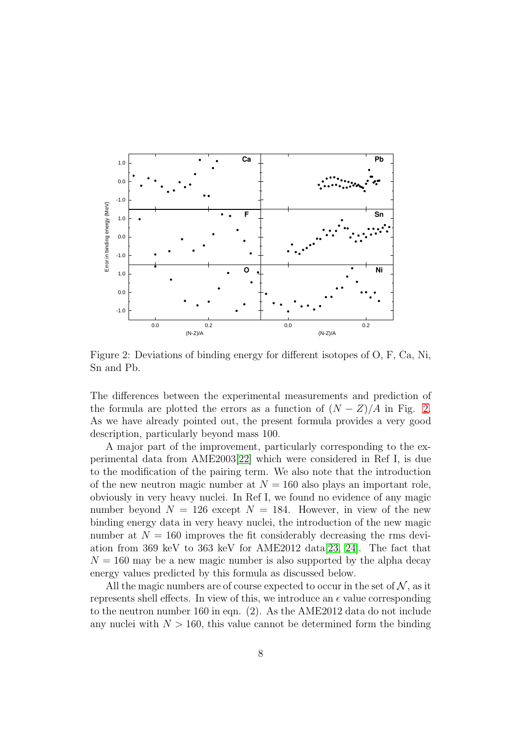

<span id="page-7-0"></span>Figure 2: Deviations of binding energy for different isotopes of O, F, Ca, Ni, Sn and Pb.

The differences between the experimental measurements and prediction of the formula are plotted the errors as a function of  $(N - Z)/A$  in Fig. [2.](#page-7-0) As we have already pointed out, the present formula provides a very good description, particularly beyond mass 100.

A major part of the improvement, particularly corresponding to the experimental data from AME2003[\[22\]](#page-10-13) which were considered in Ref I, is due to the modification of the pairing term. We also note that the introduction of the new neutron magic number at  $N = 160$  also plays an important role, obviously in very heavy nuclei. In Ref I, we found no evidence of any magic number beyond  $N = 126$  except  $N = 184$ . However, in view of the new binding energy data in very heavy nuclei, the introduction of the new magic number at  $N = 160$  improves the fit considerably decreasing the rms devi-ation from 369 keV to 363 keV for AME2012 data [\[23,](#page-10-18) [24\]](#page-11-0). The fact that  $N = 160$  may be a new magic number is also supported by the alpha decay energy values predicted by this formula as discussed below.

All the magic numbers are of course expected to occur in the set of  $\mathcal{N}$ , as it represents shell effects. In view of this, we introduce an  $\epsilon$  value corresponding to the neutron number 160 in eqn. (2). As the AME2012 data do not include any nuclei with  $N > 160$ , this value cannot be determined form the binding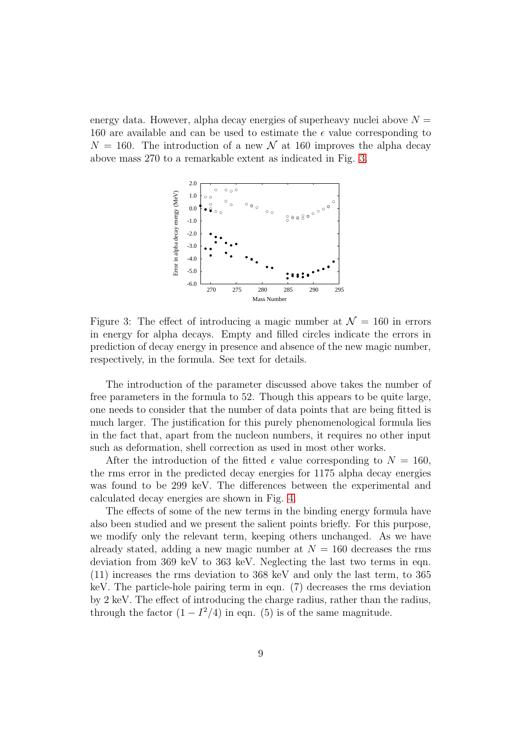energy data. However, alpha decay energies of superheavy nuclei above  $N =$ 160 are available and can be used to estimate the  $\epsilon$  value corresponding to  $N = 160$ . The introduction of a new  $\mathcal N$  at 160 improves the alpha decay above mass 270 to a remarkable extent as indicated in Fig. [3.](#page-8-0)



<span id="page-8-0"></span>Figure 3: The effect of introducing a magic number at  $\mathcal{N} = 160$  in errors in energy for alpha decays. Empty and filled circles indicate the errors in prediction of decay energy in presence and absence of the new magic number, respectively, in the formula. See text for details.

The introduction of the parameter discussed above takes the number of free parameters in the formula to 52. Though this appears to be quite large, one needs to consider that the number of data points that are being fitted is much larger. The justification for this purely phenomenological formula lies in the fact that, apart from the nucleon numbers, it requires no other input such as deformation, shell correction as used in most other works.

After the introduction of the fitted  $\epsilon$  value corresponding to  $N = 160$ , the rms error in the predicted decay energies for 1175 alpha decay energies was found to be 299 keV. The differences between the experimental and calculated decay energies are shown in Fig. [4.](#page-9-4)

The effects of some of the new terms in the binding energy formula have also been studied and we present the salient points briefly. For this purpose, we modify only the relevant term, keeping others unchanged. As we have already stated, adding a new magic number at  $N = 160$  decreases the rms deviation from 369 keV to 363 keV. Neglecting the last two terms in eqn. (11) increases the rms deviation to 368 keV and only the last term, to 365 keV. The particle-hole pairing term in eqn. (7) decreases the rms deviation by 2 keV. The effect of introducing the charge radius, rather than the radius, through the factor  $(1 - I^2/4)$  in eqn. (5) is of the same magnitude.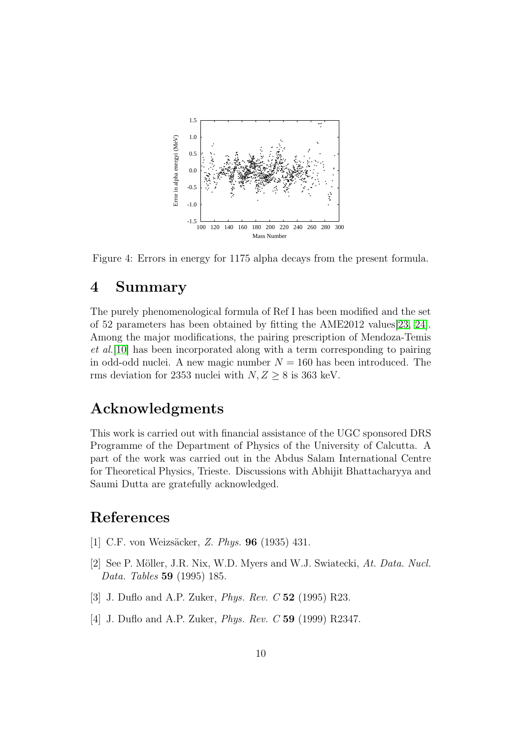

<span id="page-9-4"></span>Figure 4: Errors in energy for 1175 alpha decays from the present formula.

# 4 Summary

The purely phenomenological formula of Ref I has been modified and the set of 52 parameters has been obtained by fitting the AME2012 values[\[23,](#page-10-18) [24\]](#page-11-0). Among the major modifications, the pairing prescription of Mendoza-Temis *et al.*[\[10\]](#page-10-6) has been incorporated along with a term corresponding to pairing in odd-odd nuclei. A new magic number  $N = 160$  has been introduced. The rms deviation for 2353 nuclei with  $N, Z \geq 8$  is 363 keV.

# Acknowledgments

This work is carried out with financial assistance of the UGC sponsored DRS Programme of the Department of Physics of the University of Calcutta. A part of the work was carried out in the Abdus Salam International Centre for Theoretical Physics, Trieste. Discussions with Abhijit Bhattacharyya and Saumi Dutta are gratefully acknowledged.

# <span id="page-9-0"></span>References

- <span id="page-9-1"></span>[1] C.F. von Weizsäcker, *Z. Phys.* **96** (1935) 431.
- [2] See P. Möller, J.R. Nix, W.D. Myers and W.J. Swiatecki, At. Data. Nucl. *Data. Tables* 59 (1995) 185.
- <span id="page-9-3"></span><span id="page-9-2"></span>[3] J. Duflo and A.P. Zuker, *Phys. Rev. C* 52 (1995) R23.
- [4] J. Duflo and A.P. Zuker, *Phys. Rev. C* 59 (1999) R2347.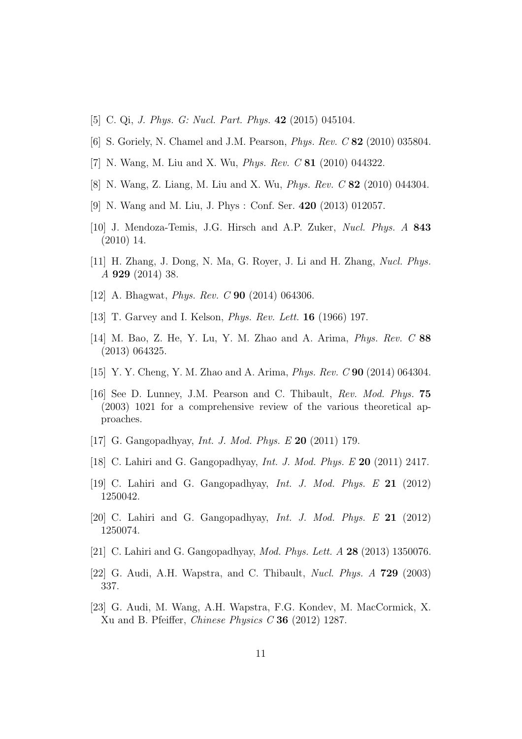- <span id="page-10-1"></span><span id="page-10-0"></span>[5] C. Qi, *J. Phys. G: Nucl. Part. Phys.* 42 (2015) 045104.
- <span id="page-10-2"></span>[6] S. Goriely, N. Chamel and J.M. Pearson, *Phys. Rev. C* 82 (2010) 035804.
- <span id="page-10-3"></span>[7] N. Wang, M. Liu and X. Wu, *Phys. Rev. C* 81 (2010) 044322.
- <span id="page-10-4"></span>[8] N. Wang, Z. Liang, M. Liu and X. Wu, *Phys. Rev. C* 82 (2010) 044304.
- <span id="page-10-6"></span>[9] N. Wang and M. Liu, J. Phys : Conf. Ser. 420 (2013) 012057.
- [10] J. Mendoza-Temis, J.G. Hirsch and A.P. Zuker, *Nucl. Phys. A* 843 (2010) 14.
- <span id="page-10-7"></span>[11] H. Zhang, J. Dong, N. Ma, G. Royer, J. Li and H. Zhang, *Nucl. Phys. A* 929 (2014) 38.
- <span id="page-10-9"></span><span id="page-10-8"></span>[12] A. Bhagwat, *Phys. Rev. C* 90 (2014) 064306.
- <span id="page-10-5"></span>[13] T. Garvey and I. Kelson, *Phys. Rev. Lett.* 16 (1966) 197.
- [14] M. Bao, Z. He, Y. Lu, Y. M. Zhao and A. Arima, *Phys. Rev. C* 88 (2013) 064325.
- <span id="page-10-11"></span><span id="page-10-10"></span>[15] Y. Y. Cheng, Y. M. Zhao and A. Arima, *Phys. Rev. C* 90 (2014) 064304.
- [16] See D. Lunney, J.M. Pearson and C. Thibault, *Rev. Mod. Phys.* 75 (2003) 1021 for a comprehensive review of the various theoretical approaches.
- <span id="page-10-14"></span><span id="page-10-12"></span>[17] G. Gangopadhyay, *Int. J. Mod. Phys. E* 20 (2011) 179.
- <span id="page-10-15"></span>[18] C. Lahiri and G. Gangopadhyay, *Int. J. Mod. Phys. E* 20 (2011) 2417.
- <span id="page-10-16"></span>[19] C. Lahiri and G. Gangopadhyay, *Int. J. Mod. Phys. E* 21 (2012) 1250042.
- <span id="page-10-17"></span>[20] C. Lahiri and G. Gangopadhyay, *Int. J. Mod. Phys. E* 21 (2012) 1250074.
- <span id="page-10-13"></span>[21] C. Lahiri and G. Gangopadhyay, *Mod. Phys. Lett. A* 28 (2013) 1350076.
- <span id="page-10-18"></span>[22] G. Audi, A.H. Wapstra, and C. Thibault, *Nucl. Phys. A* 729 (2003) 337.
- [23] G. Audi, M. Wang, A.H. Wapstra, F.G. Kondev, M. MacCormick, X. Xu and B. Pfeiffer, *Chinese Physics C* 36 (2012) 1287.